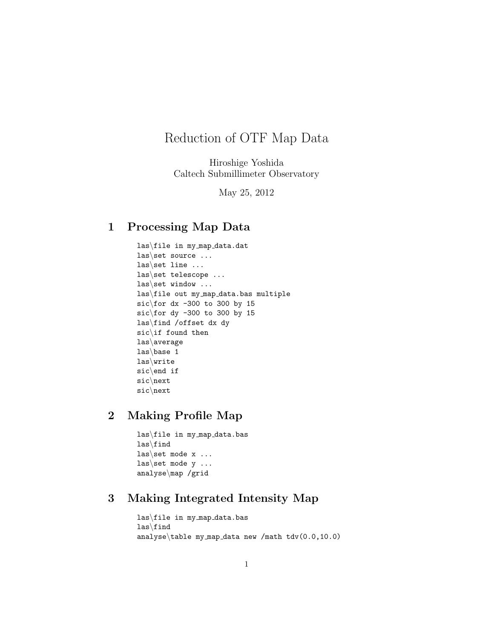# Reduction of OTF Map Data

Hiroshige Yoshida Caltech Submillimeter Observatory

May 25, 2012

#### 1 Processing Map Data

las\file in my map data.dat las\set source ... las\set line ... las\set telescope ... las\set window ... las\file out my map data.bas multiple sic $\frac{dx - 300}{t}$  to 300 by 15 sic $\frac{1}{5}$  dy -300 to 300 by 15 las\find /offset dx dy sic\if found then las\average las\base 1 las\write sic\end if sic\next sic\next

### 2 Making Profile Map

las\file in my map data.bas las\find las\set mode  $x \ldots$ las set mode  $y \ldots$ analyse\map /grid

## 3 Making Integrated Intensity Map

```
las\file in my map data.bas
las\find
analyse\table my map data new /math tdv(0.0,10.0)
```